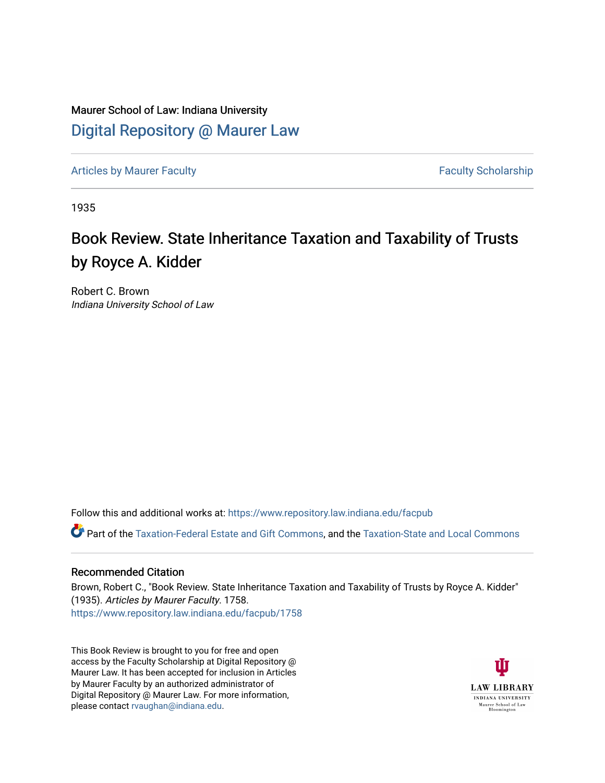Maurer School of Law: Indiana University [Digital Repository @ Maurer Law](https://www.repository.law.indiana.edu/)

[Articles by Maurer Faculty](https://www.repository.law.indiana.edu/facpub) **Faculty Faculty** Scholarship

1935

## Book Review. State Inheritance Taxation and Taxability of Trusts by Royce A. Kidder

Robert C. Brown Indiana University School of Law

Follow this and additional works at: [https://www.repository.law.indiana.edu/facpub](https://www.repository.law.indiana.edu/facpub?utm_source=www.repository.law.indiana.edu%2Ffacpub%2F1758&utm_medium=PDF&utm_campaign=PDFCoverPages)

Part of the [Taxation-Federal Estate and Gift Commons,](http://network.bepress.com/hgg/discipline/880?utm_source=www.repository.law.indiana.edu%2Ffacpub%2F1758&utm_medium=PDF&utm_campaign=PDFCoverPages) and the [Taxation-State and Local Commons](http://network.bepress.com/hgg/discipline/882?utm_source=www.repository.law.indiana.edu%2Ffacpub%2F1758&utm_medium=PDF&utm_campaign=PDFCoverPages)

## Recommended Citation

Brown, Robert C., "Book Review. State Inheritance Taxation and Taxability of Trusts by Royce A. Kidder" (1935). Articles by Maurer Faculty. 1758. [https://www.repository.law.indiana.edu/facpub/1758](https://www.repository.law.indiana.edu/facpub/1758?utm_source=www.repository.law.indiana.edu%2Ffacpub%2F1758&utm_medium=PDF&utm_campaign=PDFCoverPages) 

This Book Review is brought to you for free and open access by the Faculty Scholarship at Digital Repository @ Maurer Law. It has been accepted for inclusion in Articles by Maurer Faculty by an authorized administrator of Digital Repository @ Maurer Law. For more information, please contact [rvaughan@indiana.edu.](mailto:rvaughan@indiana.edu)

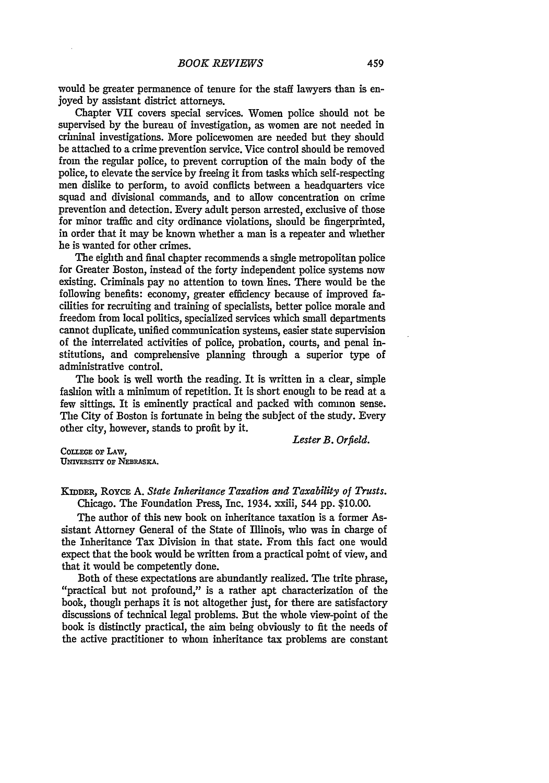would be greater permanence of tenure for the staff lawyers than is enjoyed by assistant district attorneys.

Chapter VII covers special services. Women police should not be supervised by the bureau of investigation, as women are not needed in criminal investigations. More policewomen are needed but they should be attached to a crime prevention service. Vice control should be removed from the regular police, to prevent corruption of the main body of the police, to elevate the service by freeing it from tasks which self-respecting men dislike to perform, to avoid conflicts between a headquarters vice squad and divisional commands, and to allow concentration on crime prevention and detection. Every adult person arrested, exclusive of those for minor traffic and city ordinance violations, should be fingerprinted, in order that it may be known whether a man is a repeater and whether he is wanted for other crimes.

The eighth and final chapter recommends a single metropolitan police for Greater Boston, instead of the forty independent police systems now existing. Criminals pay no attention to town lines. There would be the following benefits: economy, greater efficiency because of improved facilities for recruiting and training of specialists, better police morale and freedom from local politics, specialized services which small departments cannot duplicate, unified communication systems, easier state supervision of the interrelated activities of police, probation, courts, and penal institutions, and comprehensive planning through a superior type of administrative control.

The book is well worth the reading. It is written in a clear, simple fashion with a minimum of repetition. It is short enough to be read at a few sittings. It is eminently practical and packed with common sense. The City of Boston is fortunate in being the subject of the study. Every other city, however, stands to profit by it.

*Lester B. Orfield.*

COLLEGE OF LAW. **UNIVERSITY OF NEBRASKA.** 

**KIDDER,** RoYcE **A.** *State Inheritance Taxation and Taxability of Trusts.* Chicago. The Foundation Press, Inc. 1934. xxiii, 544 pp. \$10.00.

The author of this new book on inheritance taxation is a former Assistant Attorney General of the State of Illinois, who was in charge of the Inheritance Tax Division in that state. From this fact one would expect that the book would be written from a practical point of view, and that it would be competently done.

Both of these expectations are abundantly realized. The trite phrase, "practical but not profound," is a rather apt characterization of the book, though perhaps it is not altogether just, for there are satisfactory discussions of technical legal problems. But the whole view-point of the book is distinctly practical, the aim being obviously to fit the needs of the active practitioner to whom inheritance tax problems are constant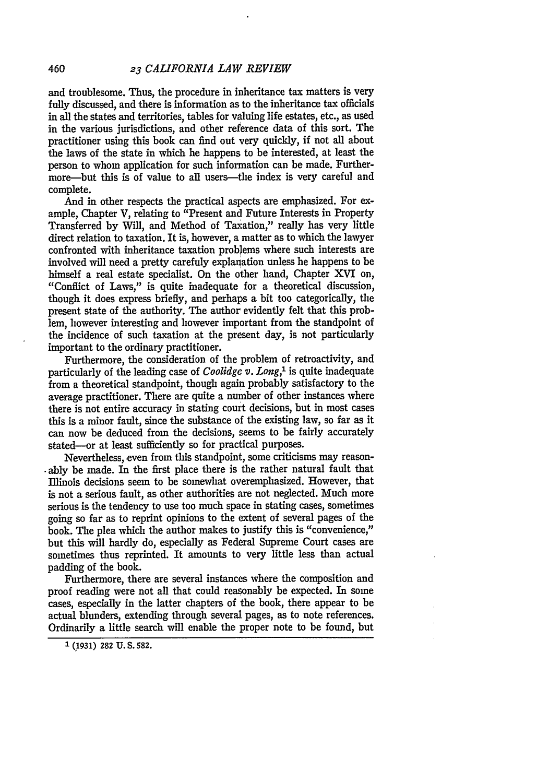and troublesome. Thus, the procedure in inheritance tax matters is very fully discussed, and there is information as to the inheritance tax officials in all the states and territories, tables for valuing life estates, etc., as used in the various jurisdictions, and other reference data of this sort. The practitioner using this book can find out very quickly, if not all about the laws of the state in which he happens to be interested, at least the person to whom application for such information can be made. Furthermore—but this is of value to all users—the index is very careful and complete.

And in other respects the practical aspects are emphasized. For example, Chapter V, relating to "Present and Future Interests in Property Transferred by Will, and Method of Taxation," really has very little direct relation to taxation. It is, however, a matter as to which the lawyer confronted with inheritance taxation problems where such interests are involved will need a pretty carefuly explanation unless he happens to be himself a real estate specialist. On the other hand, Chapter XVI on, "Conflict of Laws," is quite inadequate for a theoretical discussion, though it does express briefly, and perhaps a bit too categorically, the present state of the authority. The author evidently felt that this problem, however interesting and however important from the standpoint of the incidence of such taxation at the present day, is not particularly important to the ordinary practitioner.

Furthermore, the consideration of the problem of retroactivity, and particularly of the leading case of *Coolidge. v. Long,'* is quite inadequate from a theoretical standpoint, though again probably satisfactory to the average practitioner. There are quite a number of other instances where there is not entire accuracy in stating court decisions, but in most cases this is a minor fault, since the substance of the existing law, so far as it can now be deduced from the decisions, seems to be fairly accurately stated--or at least sufficiently so for practical purposes.

Nevertheless, even from this standpoint, some criticisms may reason--ably be made. In the first place there is the rather natural fault that Illinois decisions seem to be somewhat overemphasized. However, that is not a serious fault, as other authorities are not neglected. Much more serious is the tendency to use too much space in stating cases, sometimes going so far as to reprint opinions to the extent of several pages of the book. The plea which the author makes to justify this is "convenience," but this will hardly do, especially as Federal Supreme Court cases are sometimes thus reprinted. It amounts to very little less than actual padding of the book.

Furthermore, there are several instances where the composition and proof reading were not all that could reasonably be expected. In some cases, especially in the latter chapters of the book, there appear to be actual blunders, extending through several pages, as to note references. Ordinarily a little search will enable the proper note to be found, but

**'(1931) 282 U. S. 582.**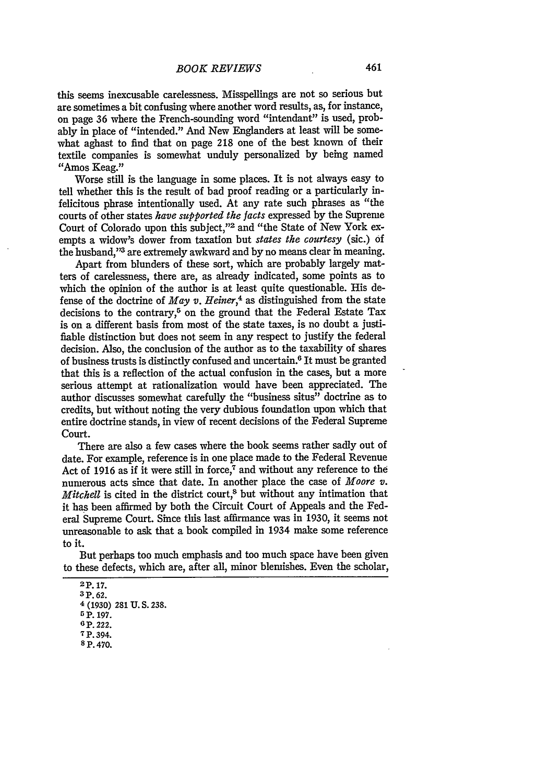this seems inexcusable carelessness. Misspellings are not so serious but are sometimes a bit confusing where another word results, as, for instance, on page 36 where the French-sounding word "intendant" is used, probably in place of "intended." And New Englanders at least will be somewhat aghast to find that on page 218 one of the best known of their textile companies is somewhat unduly personalized by being named "Amos Keag."

Worse still is the language in some places. It is not always easy to tell whether this is the result of bad proof reading or a particularly infelicitous phrase intentionally used. At any rate such phrases as "the courts of other states *have supported the facts* expressed by the Supreme Court of Colorado upon this subject,"<sup>2</sup> and "the State of New York exempts a widow's dower from taxation but *states the courtesy* (sic.) of the husband,"3 are extremely awkward and **by** no means clear in meaning.

Apart from blunders of these sort, which are probably largely matters of carelessness, there are, as already indicated, some points as to which the opinion of the author is at least quite questionable. His defense of the doctrine of  $May \, v$ , *Heiner*,<sup>4</sup> as distinguished from the state decisions to the contrary,<sup>5</sup> on the ground that the Federal Estate Tax is on a different basis from most of the state taxes, is no doubt a justifiable distinction but does not seem in any respect to justify the federal decision. Also, the conclusion of the author as to the taxability of shares of business trusts is distinctly confused and uncertain.6 It must be granted that this is a reflection of the actual confusion in the cases, but a more serious attempt at rationalization would have been appreciated. The author discusses somewhat carefully the "business situs" doctrine as to credits, but without noting the very dubious foundation upon which that entire doctrine stands, in view of recent decisions of the Federal Supreme Court.

There are also a few cases where the book seems rather sadly out of date. For example, reference is in one place made to the Federal Revenue Act of 1916 as if it were still in force,<sup>7</sup> and without any reference to the numerous acts since that date. In another place the case of *Moore v. Mitchell* is cited in the district court,<sup>8</sup> but without any intimation that it has been affirmed **by** both the Circuit Court of Appeals and the Federal Supreme Court. Since this last affirmance was in 1930, it seems not unreasonable to ask that a book compiled in 1934 make some reference to it.

But perhaps too much emphasis and too much space have been given to these defects, which are, after all, minor blemishes. Even the scholar,

**<sup>2</sup>p. 17.**

**<sup>3</sup> P. 62.**

<sup>4</sup> **(1930) 281 U. S. 238.**

<sup>5</sup> **P. 197. 6 P.** 222.

**<sup>7</sup> p. 394.**

**<sup>8</sup> P. 470.**